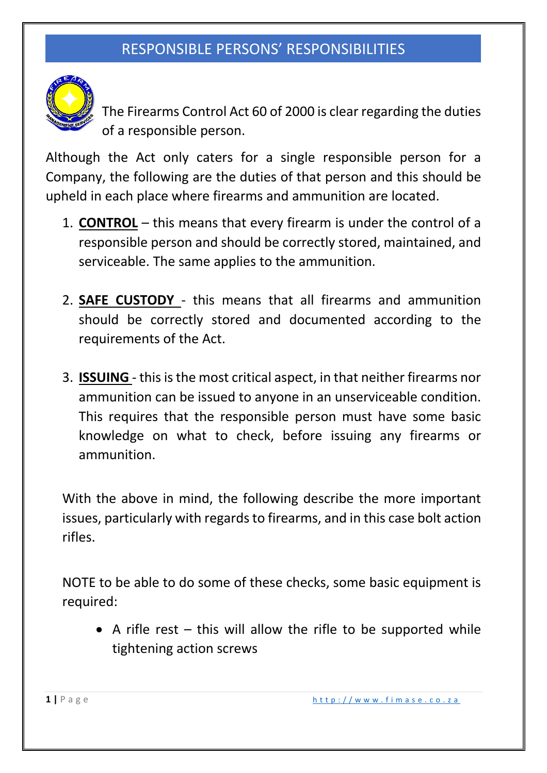

The Firearms Control Act 60 of 2000 is clear regarding the duties of a responsible person.

Although the Act only caters for a single responsible person for a Company, the following are the duties of that person and this should be upheld in each place where firearms and ammunition are located.

- 1. **CONTROL** this means that every firearm is under the control of a responsible person and should be correctly stored, maintained, and serviceable. The same applies to the ammunition.
- 2. **SAFE CUSTODY**  this means that all firearms and ammunition should be correctly stored and documented according to the requirements of the Act.
- 3. **ISSUING**  this is the most critical aspect, in that neither firearms nor ammunition can be issued to anyone in an unserviceable condition. This requires that the responsible person must have some basic knowledge on what to check, before issuing any firearms or ammunition.

With the above in mind, the following describe the more important issues, particularly with regards to firearms, and in this case bolt action rifles.

NOTE to be able to do some of these checks, some basic equipment is required:

• A rifle rest – this will allow the rifle to be supported while tightening action screws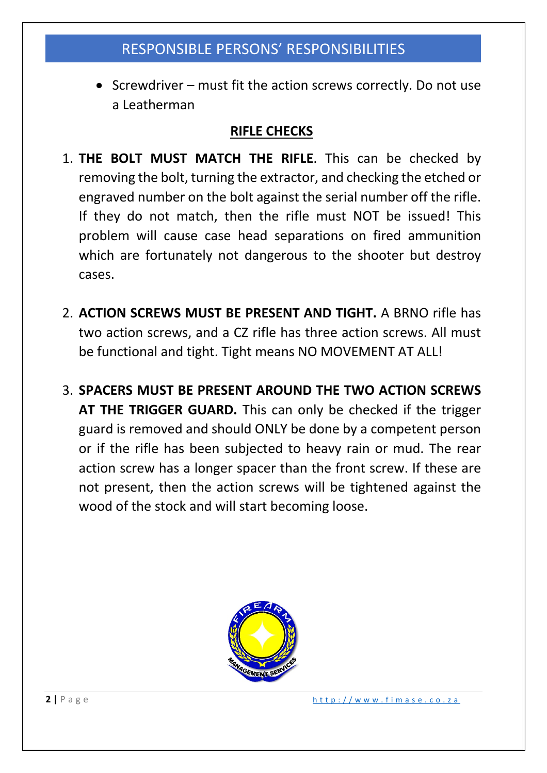• Screwdriver – must fit the action screws correctly. Do not use a Leatherman

#### **RIFLE CHECKS**

- 1. **THE BOLT MUST MATCH THE RIFLE**. This can be checked by removing the bolt, turning the extractor, and checking the etched or engraved number on the bolt against the serial number off the rifle. If they do not match, then the rifle must NOT be issued! This problem will cause case head separations on fired ammunition which are fortunately not dangerous to the shooter but destroy cases.
- 2. **ACTION SCREWS MUST BE PRESENT AND TIGHT.** A BRNO rifle has two action screws, and a CZ rifle has three action screws. All must be functional and tight. Tight means NO MOVEMENT AT ALL!
- 3. **SPACERS MUST BE PRESENT AROUND THE TWO ACTION SCREWS AT THE TRIGGER GUARD.** This can only be checked if the trigger guard is removed and should ONLY be done by a competent person or if the rifle has been subjected to heavy rain or mud. The rear action screw has a longer spacer than the front screw. If these are not present, then the action screws will be tightened against the wood of the stock and will start becoming loose.

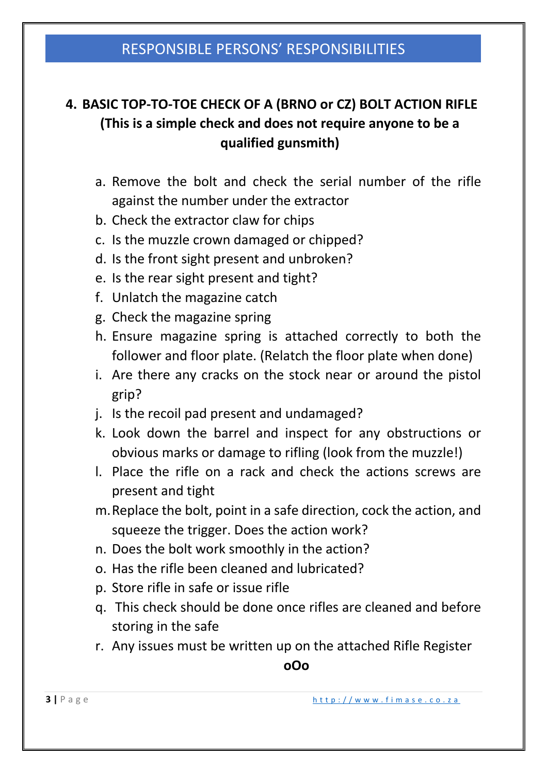## **4. BASIC TOP-TO-TOE CHECK OF A (BRNO or CZ) BOLT ACTION RIFLE (This is a simple check and does not require anyone to be a qualified gunsmith)**

- a. Remove the bolt and check the serial number of the rifle against the number under the extractor
- b. Check the extractor claw for chips
- c. Is the muzzle crown damaged or chipped?
- d. Is the front sight present and unbroken?
- e. Is the rear sight present and tight?
- f. Unlatch the magazine catch
- g. Check the magazine spring
- h. Ensure magazine spring is attached correctly to both the follower and floor plate. (Relatch the floor plate when done)
- i. Are there any cracks on the stock near or around the pistol grip?
- j. Is the recoil pad present and undamaged?
- k. Look down the barrel and inspect for any obstructions or obvious marks or damage to rifling (look from the muzzle!)
- l. Place the rifle on a rack and check the actions screws are present and tight
- m.Replace the bolt, point in a safe direction, cock the action, and squeeze the trigger. Does the action work?
- n. Does the bolt work smoothly in the action?
- o. Has the rifle been cleaned and lubricated?
- p. Store rifle in safe or issue rifle
- q. This check should be done once rifles are cleaned and before storing in the safe
- r. Any issues must be written up on the attached Rifle Register

**oOo**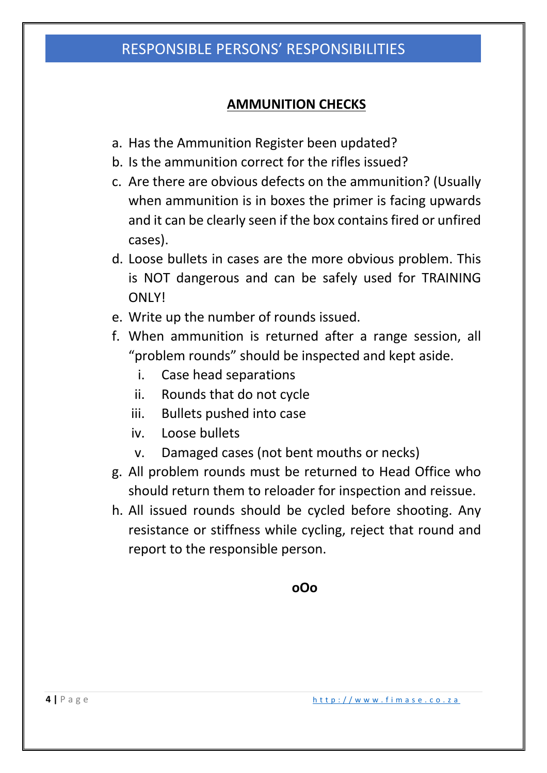#### **AMMUNITION CHECKS**

- a. Has the Ammunition Register been updated?
- b. Is the ammunition correct for the rifles issued?
- c. Are there are obvious defects on the ammunition? (Usually when ammunition is in boxes the primer is facing upwards and it can be clearly seen if the box contains fired or unfired cases).
- d. Loose bullets in cases are the more obvious problem. This is NOT dangerous and can be safely used for TRAINING ONLY!
- e. Write up the number of rounds issued.
- f. When ammunition is returned after a range session, all "problem rounds" should be inspected and kept aside.
	- i. Case head separations
	- ii. Rounds that do not cycle
	- iii. Bullets pushed into case
	- iv. Loose bullets
	- v. Damaged cases (not bent mouths or necks)
- g. All problem rounds must be returned to Head Office who should return them to reloader for inspection and reissue.
- h. All issued rounds should be cycled before shooting. Any resistance or stiffness while cycling, reject that round and report to the responsible person.

**oOo**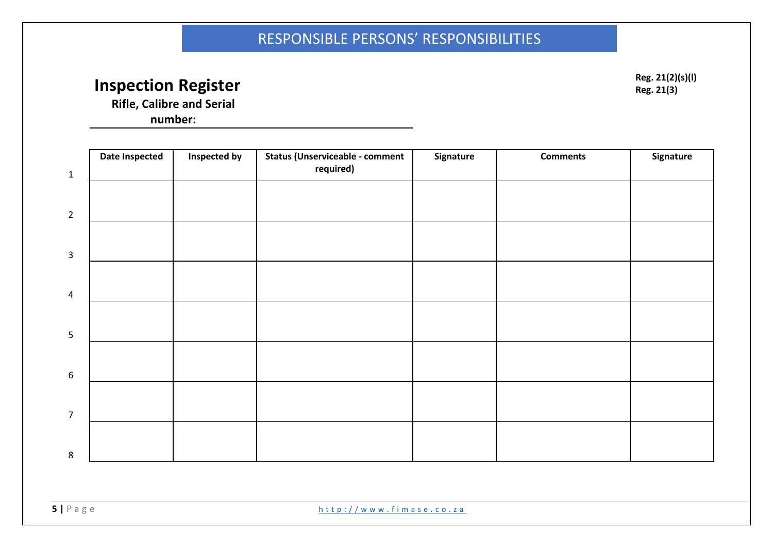# **Inspection Register Reg. 21(2)(s)(l)**  $Res. 21(2)(s)(l)$

**Reg. 21(3)**

**Rifle, Calibre and Serial** 

**number:**

| required) |  | Signature |
|-----------|--|-----------|
|           |  |           |
|           |  |           |
|           |  |           |
|           |  |           |
|           |  |           |
|           |  |           |
|           |  |           |
|           |  |           |
|           |  |           |
|           |  |           |